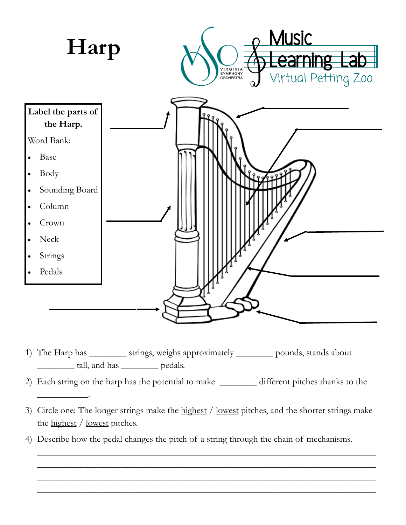

1) The Harp has \_\_\_\_\_\_\_\_ strings, weighs approximately \_\_\_\_\_\_\_\_ pounds, stands about \_\_\_\_\_\_\_\_ tall, and has \_\_\_\_\_\_\_\_ pedals.

\_\_\_\_\_\_\_\_\_\_\_.

- 2) Each string on the harp has the potential to make \_\_\_\_\_\_\_\_ different pitches thanks to the
- 3) Circle one: The longer strings make the highest / lowest pitches, and the shorter strings make the highest / lowest pitches.

\_\_\_\_\_\_\_\_\_\_\_\_\_\_\_\_\_\_\_\_\_\_\_\_\_\_\_\_\_\_\_\_\_\_\_\_\_\_\_\_\_\_\_\_\_\_\_\_\_\_\_\_\_\_\_\_\_\_\_\_\_\_\_\_\_\_\_\_\_\_\_\_\_ \_\_\_\_\_\_\_\_\_\_\_\_\_\_\_\_\_\_\_\_\_\_\_\_\_\_\_\_\_\_\_\_\_\_\_\_\_\_\_\_\_\_\_\_\_\_\_\_\_\_\_\_\_\_\_\_\_\_\_\_\_\_\_\_\_\_\_\_\_\_\_\_\_ \_\_\_\_\_\_\_\_\_\_\_\_\_\_\_\_\_\_\_\_\_\_\_\_\_\_\_\_\_\_\_\_\_\_\_\_\_\_\_\_\_\_\_\_\_\_\_\_\_\_\_\_\_\_\_\_\_\_\_\_\_\_\_\_\_\_\_\_\_\_\_\_\_ \_\_\_\_\_\_\_\_\_\_\_\_\_\_\_\_\_\_\_\_\_\_\_\_\_\_\_\_\_\_\_\_\_\_\_\_\_\_\_\_\_\_\_\_\_\_\_\_\_\_\_\_\_\_\_\_\_\_\_\_\_\_\_\_\_\_\_\_\_\_\_\_\_

4) Describe how the pedal changes the pitch of a string through the chain of mechanisms.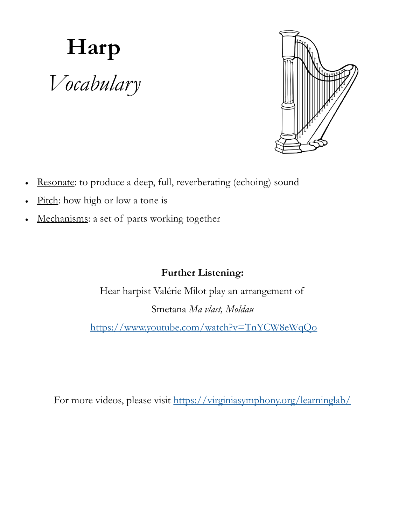## **Harp** *Vocabulary*



- Resonate: to produce a deep, full, reverberating (echoing) sound
- Pitch: how high or low a tone is
- Mechanisms: a set of parts working together

## **Further Listening:**

Hear harpist Valérie Milot play an arrangement of Smetana *Ma vlast, Moldau*

<https://www.youtube.com/watch?v=TnYCW8eWqQo>

For more videos, please visit <https://virginiasymphony.org/learninglab/>